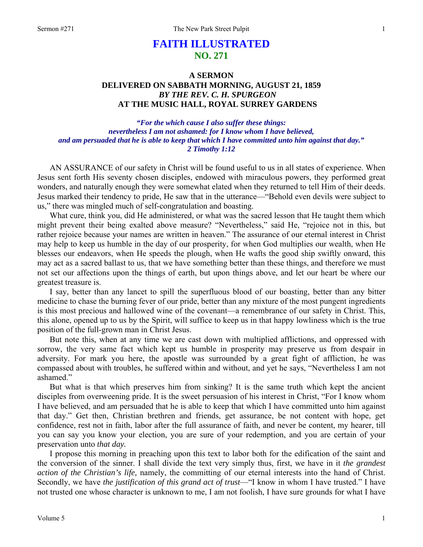# **FAITH ILLUSTRATED NO. 271**

## **A SERMON DELIVERED ON SABBATH MORNING, AUGUST 21, 1859**  *BY THE REV. C. H. SPURGEON*  **AT THE MUSIC HALL, ROYAL SURREY GARDENS**

*"For the which cause I also suffer these things: nevertheless I am not ashamed: for I know whom I have believed, and am persuaded that he is able to keep that which I have committed unto him against that day." 2 Timothy 1:12* 

AN ASSURANCE of our safety in Christ will be found useful to us in all states of experience. When Jesus sent forth His seventy chosen disciples, endowed with miraculous powers, they performed great wonders, and naturally enough they were somewhat elated when they returned to tell Him of their deeds. Jesus marked their tendency to pride, He saw that in the utterance—"Behold even devils were subject to us," there was mingled much of self-congratulation and boasting.

What cure, think you, did He administered, or what was the sacred lesson that He taught them which might prevent their being exalted above measure? "Nevertheless," said He, "rejoice not in this, but rather rejoice because your names are written in heaven." The assurance of our eternal interest in Christ may help to keep us humble in the day of our prosperity, for when God multiplies our wealth, when He blesses our endeavors, when He speeds the plough, when He wafts the good ship swiftly onward, this may act as a sacred ballast to us, that we have something better than these things, and therefore we must not set our affections upon the things of earth, but upon things above, and let our heart be where our greatest treasure is.

I say, better than any lancet to spill the superfluous blood of our boasting, better than any bitter medicine to chase the burning fever of our pride, better than any mixture of the most pungent ingredients is this most precious and hallowed wine of the covenant—a remembrance of our safety in Christ. This, this alone, opened up to us by the Spirit, will suffice to keep us in that happy lowliness which is the true position of the full-grown man in Christ Jesus.

But note this, when at any time we are cast down with multiplied afflictions, and oppressed with sorrow, the very same fact which kept us humble in prosperity may preserve us from despair in adversity. For mark you here, the apostle was surrounded by a great fight of affliction, he was compassed about with troubles, he suffered within and without, and yet he says, "Nevertheless I am not ashamed."

But what is that which preserves him from sinking? It is the same truth which kept the ancient disciples from overweening pride. It is the sweet persuasion of his interest in Christ, "For I know whom I have believed, and am persuaded that he is able to keep that which I have committed unto him against that day." Get then, Christian brethren and friends, get assurance, be not content with hope, get confidence, rest not in faith, labor after the full assurance of faith, and never be content, my hearer, till you can say you know your election, you are sure of your redemption, and you are certain of your preservation unto *that day.* 

I propose this morning in preaching upon this text to labor both for the edification of the saint and the conversion of the sinner. I shall divide the text very simply thus, first, we have in it *the grandest action of the Christian's life,* namely, the committing of our eternal interests into the hand of Christ. Secondly, we have *the justification of this grand act of trust*—"I know in whom I have trusted." I have not trusted one whose character is unknown to me, I am not foolish, I have sure grounds for what I have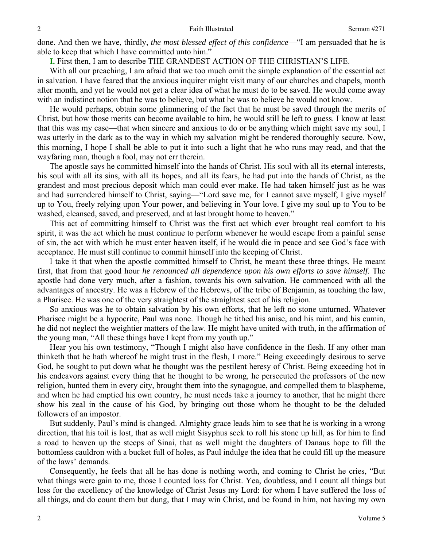done. And then we have, thirdly, *the most blessed effect of this confidence*—"I am persuaded that he is able to keep that which I have committed unto him."

**I.** First then, I am to describe THE GRANDEST ACTION OF THE CHRISTIAN'S LIFE.

With all our preaching, I am afraid that we too much omit the simple explanation of the essential act in salvation. I have feared that the anxious inquirer might visit many of our churches and chapels, month after month, and yet he would not get a clear idea of what he must do to be saved. He would come away with an indistinct notion that he was to believe, but what he was to believe he would not know.

He would perhaps, obtain some glimmering of the fact that he must be saved through the merits of Christ, but how those merits can become available to him, he would still be left to guess. I know at least that this was my case—that when sincere and anxious to do or be anything which might save my soul, I was utterly in the dark as to the way in which my salvation might be rendered thoroughly secure. Now, this morning, I hope I shall be able to put it into such a light that he who runs may read, and that the wayfaring man, though a fool, may not err therein.

The apostle says he committed himself into the hands of Christ. His soul with all its eternal interests, his soul with all its sins, with all its hopes, and all its fears, he had put into the hands of Christ, as the grandest and most precious deposit which man could ever make. He had taken himself just as he was and had surrendered himself to Christ, saying—"Lord save me, for I cannot save myself, I give myself up to You, freely relying upon Your power, and believing in Your love. I give my soul up to You to be washed, cleansed, saved, and preserved, and at last brought home to heaven."

This act of committing himself to Christ was the first act which ever brought real comfort to his spirit, it was the act which he must continue to perform whenever he would escape from a painful sense of sin, the act with which he must enter heaven itself, if he would die in peace and see God's face with acceptance. He must still continue to commit himself into the keeping of Christ.

I take it that when the apostle committed himself to Christ, he meant these three things. He meant first, that from that good hour *he renounced all dependence upon his own efforts to save himself*. The apostle had done very much, after a fashion, towards his own salvation. He commenced with all the advantages of ancestry. He was a Hebrew of the Hebrews, of the tribe of Benjamin, as touching the law, a Pharisee. He was one of the very straightest of the straightest sect of his religion.

So anxious was he to obtain salvation by his own efforts, that he left no stone unturned. Whatever Pharisee might be a hypocrite, Paul was none. Though he tithed his anise, and his mint, and his cumin, he did not neglect the weightier matters of the law. He might have united with truth, in the affirmation of the young man, "All these things have I kept from my youth up."

Hear you his own testimony, "Though I might also have confidence in the flesh. If any other man thinketh that he hath whereof he might trust in the flesh, I more." Being exceedingly desirous to serve God, he sought to put down what he thought was the pestilent heresy of Christ. Being exceeding hot in his endeavors against every thing that he thought to be wrong, he persecuted the professors of the new religion, hunted them in every city, brought them into the synagogue, and compelled them to blaspheme, and when he had emptied his own country, he must needs take a journey to another, that he might there show his zeal in the cause of his God, by bringing out those whom he thought to be the deluded followers of an impostor.

But suddenly, Paul's mind is changed. Almighty grace leads him to see that he is working in a wrong direction, that his toil is lost, that as well might Sisyphus seek to roll his stone up hill, as for him to find a road to heaven up the steeps of Sinai, that as well might the daughters of Danaus hope to fill the bottomless cauldron with a bucket full of holes, as Paul indulge the idea that he could fill up the measure of the laws' demands.

Consequently, he feels that all he has done is nothing worth, and coming to Christ he cries, "But what things were gain to me, those I counted loss for Christ. Yea, doubtless, and I count all things but loss for the excellency of the knowledge of Christ Jesus my Lord: for whom I have suffered the loss of all things, and do count them but dung, that I may win Christ, and be found in him, not having my own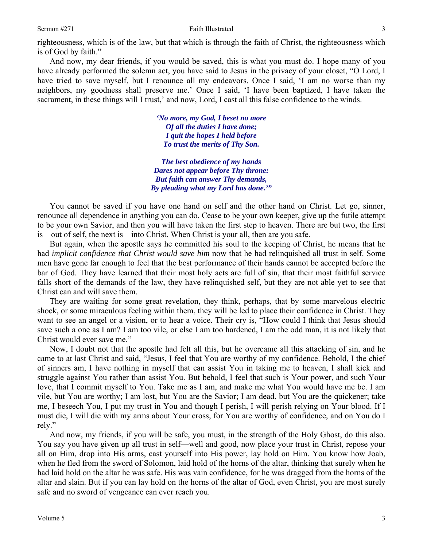#### Sermon #271 Faith Illustrated

righteousness, which is of the law, but that which is through the faith of Christ, the righteousness which is of God by faith."

And now, my dear friends, if you would be saved, this is what you must do. I hope many of you have already performed the solemn act, you have said to Jesus in the privacy of your closet, "O Lord, I have tried to save myself, but I renounce all my endeavors. Once I said, 'I am no worse than my neighbors, my goodness shall preserve me.' Once I said, 'I have been baptized, I have taken the sacrament, in these things will I trust,' and now, Lord, I cast all this false confidence to the winds.

> *'No more, my God, I beset no more Of all the duties I have done; I quit the hopes I held before To trust the merits of Thy Son.*

*The best obedience of my hands Dares not appear before Thy throne: But faith can answer Thy demands, By pleading what my Lord has done.'"* 

You cannot be saved if you have one hand on self and the other hand on Christ. Let go, sinner, renounce all dependence in anything you can do. Cease to be your own keeper, give up the futile attempt to be your own Savior, and then you will have taken the first step to heaven. There are but two, the first is—out of self, the next is—into Christ. When Christ is your all, then are you safe.

But again, when the apostle says he committed his soul to the keeping of Christ, he means that he had *implicit confidence that Christ would save him* now that he had relinquished all trust in self. Some men have gone far enough to feel that the best performance of their hands cannot be accepted before the bar of God. They have learned that their most holy acts are full of sin, that their most faithful service falls short of the demands of the law, they have relinquished self, but they are not able yet to see that Christ can and will save them.

They are waiting for some great revelation, they think, perhaps, that by some marvelous electric shock, or some miraculous feeling within them, they will be led to place their confidence in Christ. They want to see an angel or a vision, or to hear a voice. Their cry is, "How could I think that Jesus should save such a one as I am? I am too vile, or else I am too hardened, I am the odd man, it is not likely that Christ would ever save me."

Now, I doubt not that the apostle had felt all this, but he overcame all this attacking of sin, and he came to at last Christ and said, "Jesus, I feel that You are worthy of my confidence. Behold, I the chief of sinners am, I have nothing in myself that can assist You in taking me to heaven, I shall kick and struggle against You rather than assist You. But behold, I feel that such is Your power, and such Your love, that I commit myself to You. Take me as I am, and make me what You would have me be. I am vile, but You are worthy; I am lost, but You are the Savior; I am dead, but You are the quickener; take me, I beseech You, I put my trust in You and though I perish, I will perish relying on Your blood. If I must die, I will die with my arms about Your cross, for You are worthy of confidence, and on You do I rely."

And now, my friends, if you will be safe, you must, in the strength of the Holy Ghost, do this also. You say you have given up all trust in self—well and good, now place your trust in Christ, repose your all on Him, drop into His arms, cast yourself into His power, lay hold on Him. You know how Joab, when he fled from the sword of Solomon, laid hold of the horns of the altar, thinking that surely when he had laid hold on the altar he was safe. His was vain confidence, for he was dragged from the horns of the altar and slain. But if you can lay hold on the horns of the altar of God, even Christ, you are most surely safe and no sword of vengeance can ever reach you.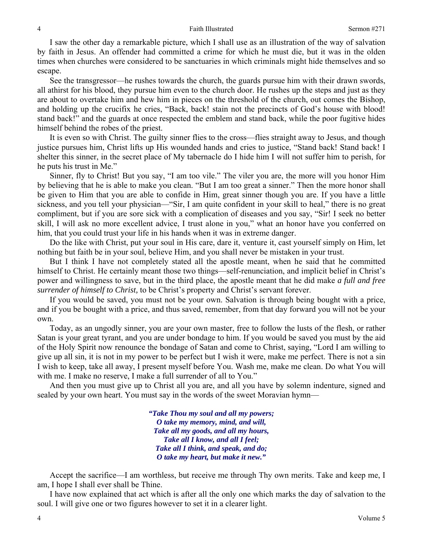#### Faith Illustrated Sermon #271

I saw the other day a remarkable picture, which I shall use as an illustration of the way of salvation by faith in Jesus. An offender had committed a crime for which he must die, but it was in the olden times when churches were considered to be sanctuaries in which criminals might hide themselves and so escape.

See the transgressor—he rushes towards the church, the guards pursue him with their drawn swords, all athirst for his blood, they pursue him even to the church door. He rushes up the steps and just as they are about to overtake him and hew him in pieces on the threshold of the church, out comes the Bishop, and holding up the crucifix he cries, "Back, back! stain not the precincts of God's house with blood! stand back!" and the guards at once respected the emblem and stand back, while the poor fugitive hides himself behind the robes of the priest.

It is even so with Christ. The guilty sinner flies to the cross—flies straight away to Jesus, and though justice pursues him, Christ lifts up His wounded hands and cries to justice, "Stand back! Stand back! I shelter this sinner, in the secret place of My tabernacle do I hide him I will not suffer him to perish, for he puts his trust in Me."

Sinner, fly to Christ! But you say, "I am too vile." The viler you are, the more will you honor Him by believing that he is able to make you clean. "But I am too great a sinner." Then the more honor shall be given to Him that you are able to confide in Him, great sinner though you are. If you have a little sickness, and you tell your physician—"Sir, I am quite confident in your skill to heal," there is no great compliment, but if you are sore sick with a complication of diseases and you say, "Sir! I seek no better skill, I will ask no more excellent advice, I trust alone in you," what an honor have you conferred on him, that you could trust your life in his hands when it was in extreme danger.

Do the like with Christ, put your soul in His care, dare it, venture it, cast yourself simply on Him, let nothing but faith be in your soul, believe Him, and you shall never be mistaken in your trust.

But I think I have not completely stated all the apostle meant, when he said that he committed himself to Christ. He certainly meant those two things—self-renunciation, and implicit belief in Christ's power and willingness to save, but in the third place, the apostle meant that he did make *a full and free surrender of himself to Christ,* to be Christ's property and Christ's servant forever.

If you would be saved, you must not be your own. Salvation is through being bought with a price, and if you be bought with a price, and thus saved, remember, from that day forward you will not be your own.

Today, as an ungodly sinner, you are your own master, free to follow the lusts of the flesh, or rather Satan is your great tyrant, and you are under bondage to him. If you would be saved you must by the aid of the Holy Spirit now renounce the bondage of Satan and come to Christ, saying, "Lord I am willing to give up all sin, it is not in my power to be perfect but I wish it were, make me perfect. There is not a sin I wish to keep, take all away, I present myself before You. Wash me, make me clean. Do what You will with me. I make no reserve, I make a full surrender of all to You."

And then you must give up to Christ all you are, and all you have by solemn indenture, signed and sealed by your own heart. You must say in the words of the sweet Moravian hymn—

> *"Take Thou my soul and all my powers; O take my memory, mind, and will, Take all my goods, and all my hours, Take all I know, and all I feel; Take all I think, and speak, and do; O take my heart, but make it new."*

Accept the sacrifice—I am worthless, but receive me through Thy own merits. Take and keep me, I am, I hope I shall ever shall be Thine.

I have now explained that act which is after all the only one which marks the day of salvation to the soul. I will give one or two figures however to set it in a clearer light.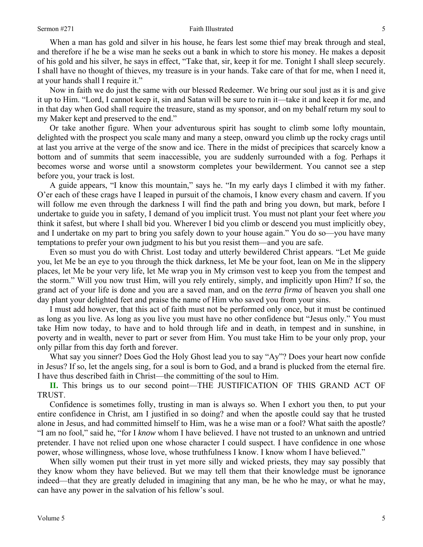#### Sermon #271 Faith Illustrated

When a man has gold and silver in his house, he fears lest some thief may break through and steal, and therefore if he be a wise man he seeks out a bank in which to store his money. He makes a deposit of his gold and his silver, he says in effect, "Take that, sir, keep it for me. Tonight I shall sleep securely. I shall have no thought of thieves, my treasure is in your hands. Take care of that for me, when I need it, at your hands shall I require it."

Now in faith we do just the same with our blessed Redeemer. We bring our soul just as it is and give it up to Him. "Lord, I cannot keep it, sin and Satan will be sure to ruin it—take it and keep it for me, and in that day when God shall require the treasure, stand as my sponsor, and on my behalf return my soul to my Maker kept and preserved to the end."

Or take another figure. When your adventurous spirit has sought to climb some lofty mountain, delighted with the prospect you scale many and many a steep, onward you climb up the rocky crags until at last you arrive at the verge of the snow and ice. There in the midst of precipices that scarcely know a bottom and of summits that seem inaccessible, you are suddenly surrounded with a fog. Perhaps it becomes worse and worse until a snowstorm completes your bewilderment. You cannot see a step before you, your track is lost.

A guide appears, "I know this mountain," says he. "In my early days I climbed it with my father. O'er each of these crags have I leaped in pursuit of the chamois, I know every chasm and cavern. If you will follow me even through the darkness I will find the path and bring you down, but mark, before I undertake to guide you in safety, I demand of you implicit trust. You must not plant your feet where *you* think it safest, but where I shall bid you. Wherever I bid you climb or descend you must implicitly obey, and I undertake on my part to bring you safely down to your house again." You do so—you have many temptations to prefer your own judgment to his but you resist them—and you are safe.

Even so must you do with Christ. Lost today and utterly bewildered Christ appears. "Let Me guide you, let Me be an eye to you through the thick darkness, let Me be your foot, lean on Me in the slippery places, let Me be your very life, let Me wrap you in My crimson vest to keep you from the tempest and the storm." Will you now trust Him, will you rely entirely, simply, and implicitly upon Him? If so, the grand act of your life is done and you are a saved man, and on the *terra firma* of heaven you shall one day plant your delighted feet and praise the name of Him who saved you from your sins.

I must add however, that this act of faith must not be performed only once, but it must be continued as long as you live. As long as you live you must have no other confidence but "Jesus only." You must take Him now today, to have and to hold through life and in death, in tempest and in sunshine, in poverty and in wealth, never to part or sever from Him. You must take Him to be your only prop, your only pillar from this day forth and forever.

What say you sinner? Does God the Holy Ghost lead you to say "Ay"? Does your heart now confide in Jesus? If so, let the angels sing, for a soul is born to God, and a brand is plucked from the eternal fire. I have thus described faith in Christ—the committing of the soul to Him.

**II.** This brings us to our second point—THE JUSTIFICATION OF THIS GRAND ACT OF TRUST.

Confidence is sometimes folly, trusting in man is always so. When I exhort you then, to put your entire confidence in Christ, am I justified in so doing? and when the apostle could say that he trusted alone in Jesus, and had committed himself to Him, was he a wise man or a fool? What saith the apostle? "I am no fool," said he, "for I *know* whom I have believed. I have not trusted to an unknown and untried pretender. I have not relied upon one whose character I could suspect. I have confidence in one whose power, whose willingness, whose love, whose truthfulness I know. I know whom I have believed."

When silly women put their trust in yet more silly and wicked priests, they may say possibly that they know whom they have believed. But we may tell them that their knowledge must be ignorance indeed—that they are greatly deluded in imagining that any man, be he who he may, or what he may, can have any power in the salvation of his fellow's soul.

5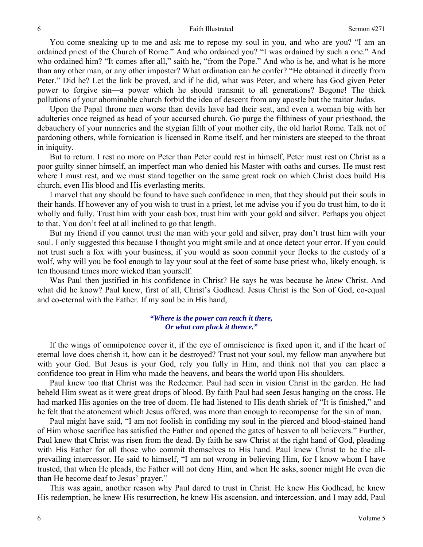You come sneaking up to me and ask me to repose my soul in you, and who are you? "I am an ordained priest of the Church of Rome." And who ordained you? "I was ordained by such a one." And who ordained him? "It comes after all," saith he, "from the Pope." And who is he, and what is he more than any other man, or any other imposter? What ordination can *he* confer? "He obtained it directly from Peter." Did he? Let the link be proved, and if he did, what was Peter, and where has God given Peter power to forgive sin—a power which he should transmit to all generations? Begone! The thick pollutions of your abominable church forbid the idea of descent from any apostle but the traitor Judas.

Upon the Papal throne men worse than devils have had their seat, and even a woman big with her adulteries once reigned as head of your accursed church. Go purge the filthiness of your priesthood, the debauchery of your nunneries and the stygian filth of your mother city, the old harlot Rome. Talk not of pardoning others, while fornication is licensed in Rome itself, and her ministers are steeped to the throat in iniquity.

But to return. I rest no more on Peter than Peter could rest in himself, Peter must rest on Christ as a poor guilty sinner himself, an imperfect man who denied his Master with oaths and curses. He must rest where I must rest, and we must stand together on the same great rock on which Christ does build His church, even His blood and His everlasting merits.

I marvel that any should be found to have such confidence in men, that they should put their souls in their hands. If however any of you wish to trust in a priest, let me advise you if you do trust him, to do it wholly and fully. Trust him with your cash box, trust him with your gold and silver. Perhaps you object to that. You don't feel at all inclined to go that length.

But my friend if you cannot trust the man with your gold and silver, pray don't trust him with your soul. I only suggested this because I thought you might smile and at once detect your error. If you could not trust such a fox with your business, if you would as soon commit your flocks to the custody of a wolf, why will you be fool enough to lay your soul at the feet of some base priest who, likely enough, is ten thousand times more wicked than yourself.

Was Paul then justified in his confidence in Christ? He says he was because he *knew* Christ. And what did he know? Paul knew, first of all, Christ's Godhead. Jesus Christ is the Son of God, co-equal and co-eternal with the Father. If my soul be in His hand,

### *"Where is the power can reach it there, Or what can pluck it thence."*

If the wings of omnipotence cover it, if the eye of omniscience is fixed upon it, and if the heart of eternal love does cherish it, how can it be destroyed? Trust not your soul, my fellow man anywhere but with your God. But Jesus is your God, rely you fully in Him, and think not that you can place a confidence too great in Him who made the heavens, and bears the world upon His shoulders.

Paul knew too that Christ was the Redeemer. Paul had seen in vision Christ in the garden. He had beheld Him sweat as it were great drops of blood. By faith Paul had seen Jesus hanging on the cross. He had marked His agonies on the tree of doom. He had listened to His death shriek of "It is finished," and he felt that the atonement which Jesus offered, was more than enough to recompense for the sin of man.

Paul might have said, "I am not foolish in confiding my soul in the pierced and blood-stained hand of Him whose sacrifice has satisfied the Father and opened the gates of heaven to all believers." Further, Paul knew that Christ was risen from the dead. By faith he saw Christ at the right hand of God, pleading with His Father for all those who commit themselves to His hand. Paul knew Christ to be the allprevailing intercessor. He said to himself, "I am not wrong in believing Him, for I know whom I have trusted, that when He pleads, the Father will not deny Him, and when He asks, sooner might He even die than He become deaf to Jesus' prayer."

This was again, another reason why Paul dared to trust in Christ. He knew His Godhead, he knew His redemption, he knew His resurrection, he knew His ascension, and intercession, and I may add, Paul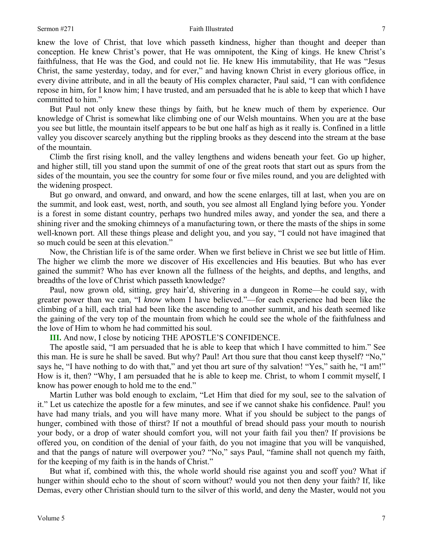knew the love of Christ, that love which passeth kindness, higher than thought and deeper than conception. He knew Christ's power, that He was omnipotent, the King of kings. He knew Christ's faithfulness, that He was the God, and could not lie. He knew His immutability, that He was "Jesus Christ, the same yesterday, today, and for ever," and having known Christ in every glorious office, in every divine attribute, and in all the beauty of His complex character, Paul said, "I can with confidence repose in him, for I know him; I have trusted, and am persuaded that he is able to keep that which I have committed to him."

But Paul not only knew these things by faith, but he knew much of them by experience. Our knowledge of Christ is somewhat like climbing one of our Welsh mountains. When you are at the base you see but little, the mountain itself appears to be but one half as high as it really is. Confined in a little valley you discover scarcely anything but the rippling brooks as they descend into the stream at the base of the mountain.

Climb the first rising knoll, and the valley lengthens and widens beneath your feet. Go up higher, and higher still, till you stand upon the summit of one of the great roots that start out as spurs from the sides of the mountain, you see the country for some four or five miles round, and you are delighted with the widening prospect.

But go onward, and onward, and onward, and how the scene enlarges, till at last, when you are on the summit, and look east, west, north, and south, you see almost all England lying before you. Yonder is a forest in some distant country, perhaps two hundred miles away, and yonder the sea, and there a shining river and the smoking chimneys of a manufacturing town, or there the masts of the ships in some well-known port. All these things please and delight you, and you say, "I could not have imagined that so much could be seen at this elevation."

Now, the Christian life is of the same order. When we first believe in Christ we see but little of Him. The higher we climb the more we discover of His excellencies and His beauties. But who has ever gained the summit? Who has ever known all the fullness of the heights, and depths, and lengths, and breadths of the love of Christ which passeth knowledge?

Paul, now grown old, sitting, grey hair'd, shivering in a dungeon in Rome—he could say, with greater power than we can, "I *know* whom I have believed."—for each experience had been like the climbing of a hill, each trial had been like the ascending to another summit, and his death seemed like the gaining of the very top of the mountain from which he could see the whole of the faithfulness and the love of Him to whom he had committed his soul.

**III.** And now, I close by noticing THE APOSTLE'S CONFIDENCE.

The apostle said, "I am persuaded that he is able to keep that which I have committed to him." See this man. He is sure he shall be saved. But why? Paul! Art thou sure that thou canst keep thyself? "No," says he, "I have nothing to do with that," and yet thou art sure of thy salvation! "Yes," saith he, "I am!" How is it, then? "Why, I am persuaded that he is able to keep me. Christ, to whom I commit myself, I know has power enough to hold me to the end."

Martin Luther was bold enough to exclaim, "Let Him that died for my soul, see to the salvation of it." Let us catechize the apostle for a few minutes, and see if we cannot shake his confidence. Paul! you have had many trials, and you will have many more. What if you should be subject to the pangs of hunger, combined with those of thirst? If not a mouthful of bread should pass your mouth to nourish your body, or a drop of water should comfort you, will not your faith fail you then? If provisions be offered you, on condition of the denial of your faith, do you not imagine that you will be vanquished, and that the pangs of nature will overpower you? "No," says Paul, "famine shall not quench my faith, for the keeping of my faith is in the hands of Christ."

But what if, combined with this, the whole world should rise against you and scoff you? What if hunger within should echo to the shout of scorn without? would you not then deny your faith? If, like Demas, every other Christian should turn to the silver of this world, and deny the Master, would not you

7